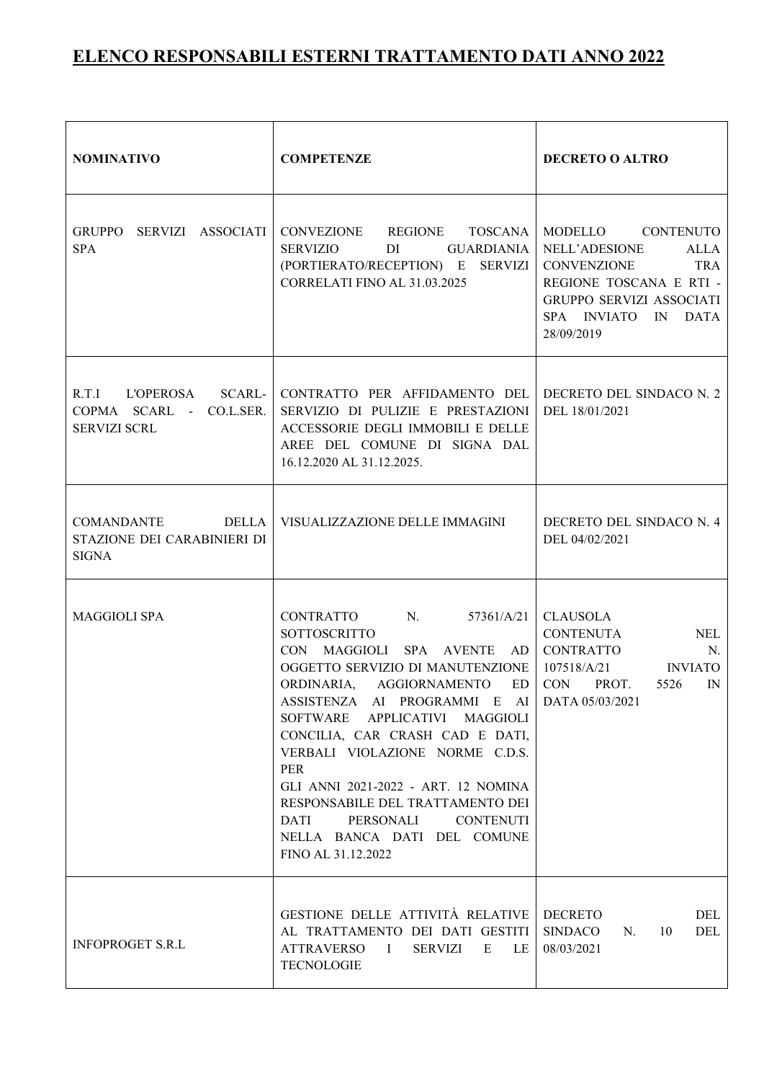| <b>NOMINATIVO</b>                                               | <b>COMPETENZE</b>                                                                                                                                                                                                                                                                                                                                                                                                                                                                              | <b>DECRETO O ALTRO</b>                                                                                                                                              |  |  |  |
|-----------------------------------------------------------------|------------------------------------------------------------------------------------------------------------------------------------------------------------------------------------------------------------------------------------------------------------------------------------------------------------------------------------------------------------------------------------------------------------------------------------------------------------------------------------------------|---------------------------------------------------------------------------------------------------------------------------------------------------------------------|--|--|--|
| GRUPPO SERVIZI ASSOCIATI<br><b>SPA</b>                          | CONVEZIONE REGIONE TOSCANA<br><b>SERVIZIO</b><br>GUARDIANIA<br>DI<br>(PORTIERATO/RECEPTION) E SERVIZI<br>CORRELATI FINO AL 31.03.2025                                                                                                                                                                                                                                                                                                                                                          | MODELLO CONTENUTO<br>NELL'ADESIONE<br>ALLA<br><b>TRA</b><br>CONVENZIONE<br>REGIONE TOSCANA E RTI -<br>GRUPPO SERVIZI ASSOCIATI<br>SPA INVIATO IN DATA<br>28/09/2019 |  |  |  |
| COPMA SCARL - CO.L.SER.<br><b>SERVIZI SCRL</b>                  | R.T.I L'OPEROSA SCARL- CONTRATTO PER AFFIDAMENTO DEL<br>SERVIZIO DI PULIZIE E PRESTAZIONI<br>ACCESSORIE DEGLI IMMOBILI E DELLE<br>AREE DEL COMUNE DI SIGNA DAL<br>16.12.2020 AL 31.12.2025.                                                                                                                                                                                                                                                                                                    | DECRETO DEL SINDACO N. 2<br>DEL 18/01/2021                                                                                                                          |  |  |  |
| COMANDANTE DELLA<br>STAZIONE DEI CARABINIERI DI<br><b>SIGNA</b> | VISUALIZZAZIONE DELLE IMMAGINI                                                                                                                                                                                                                                                                                                                                                                                                                                                                 | DECRETO DEL SINDACO N. 4<br>DEL 04/02/2021                                                                                                                          |  |  |  |
| <b>MAGGIOLI SPA</b>                                             | $N_{\rm c}$<br>CONTRATTO<br>57361/A/21<br><b>SOTTOSCRITTO</b><br>CON MAGGIOLI<br>SPA AVENTE AD<br>OGGETTO SERVIZIO DI MANUTENZIONE<br>ORDINARIA, AGGIORNAMENTO<br>ED<br>ASSISTENZA AI PROGRAMMI E AI<br>APPLICATIVI MAGGIOLI<br>SOFTWARE<br>CONCILIA, CAR CRASH CAD E DATI,<br>VERBALI VIOLAZIONE NORME C.D.S.<br>PER<br>GLI ANNI 2021-2022 - ART. 12 NOMINA<br>RESPONSABILE DEL TRATTAMENTO DEI<br>PERSONALI<br><b>CONTENUTI</b><br>DATI<br>NELLA BANCA DATI DEL COMUNE<br>FINO AL 31.12.2022 | <b>CLAUSOLA</b><br><b>CONTENUTA</b><br>NEL<br><b>CONTRATTO</b><br>N.<br>107518/A/21<br><b>INVIATO</b><br>CON<br>PROT.<br>5526<br>IN<br>DATA 05/03/2021              |  |  |  |
| <b>INFOPROGET S.R.L</b>                                         | GESTIONE DELLE ATTIVITÀ RELATIVE<br>AL TRATTAMENTO DEI DATI GESTITI<br><b>ATTRAVERSO</b><br><b>SERVIZI</b><br>$\mathbf{I}$<br>E<br>LE.<br><b>TECNOLOGIE</b>                                                                                                                                                                                                                                                                                                                                    | <b>DECRETO</b><br>DEL<br><b>SINDACO</b><br>DEL<br>N.<br>10<br>08/03/2021                                                                                            |  |  |  |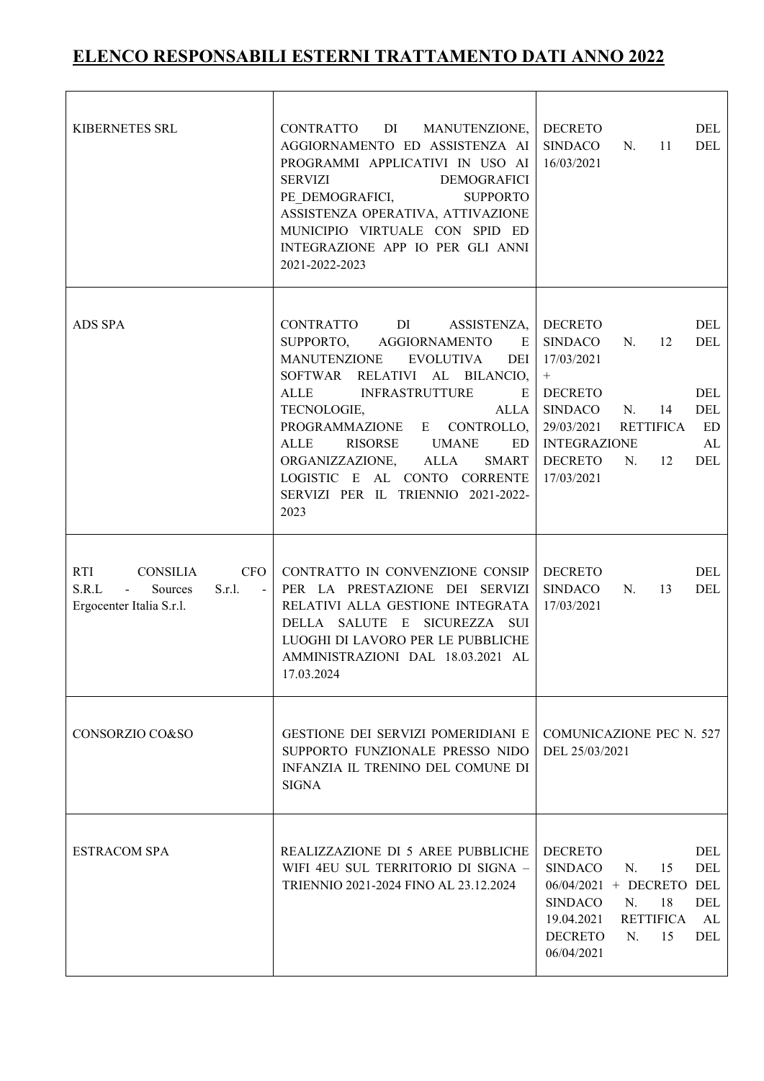| KIBERNETES SRL                                                                                                                            | CONTRATTO<br>DI MANUTENZIONE,<br>AGGIORNAMENTO ED ASSISTENZA AI<br>PROGRAMMI APPLICATIVI IN USO AI<br><b>SERVIZI</b><br><b>DEMOGRAFICI</b><br>PE DEMOGRAFICI,<br><b>SUPPORTO</b><br>ASSISTENZA OPERATIVA, ATTIVAZIONE<br>MUNICIPIO VIRTUALE CON SPID ED<br>INTEGRAZIONE APP IO PER GLI ANNI<br>2021-2022-2023                                                                                                                                                                                                                                                                                                                               | <b>DECRETO</b><br>DEL<br><b>SINDACO</b><br>N.<br>11<br>DEL<br>16/03/2021                                                                                                                                                                                                                  |  |  |
|-------------------------------------------------------------------------------------------------------------------------------------------|---------------------------------------------------------------------------------------------------------------------------------------------------------------------------------------------------------------------------------------------------------------------------------------------------------------------------------------------------------------------------------------------------------------------------------------------------------------------------------------------------------------------------------------------------------------------------------------------------------------------------------------------|-------------------------------------------------------------------------------------------------------------------------------------------------------------------------------------------------------------------------------------------------------------------------------------------|--|--|
| ADS SPA                                                                                                                                   | CONTRATTO<br>DI and the state of the state of the state of the state of the state of the state of the state of the state of the state of the state of the state of the state of the state of the state of the state of the state of the sta<br>ASSISTENZA,<br>SUPPORTO,<br><b>AGGIORNAMENTO</b><br>E<br>MANUTENZIONE<br><b>EVOLUTIVA</b><br>DEI<br>SOFTWAR RELATIVI AL BILANCIO,<br><b>ALLE</b><br><b>INFRASTRUTTURE</b><br>E<br>TECNOLOGIE,<br>ALLA<br>PROGRAMMAZIONE E CONTROLLO,<br>ALLE<br>RISORSE UMANE<br>ED<br>ALLA<br>ORGANIZZAZIONE,<br><b>SMART</b><br>LOGISTIC E AL CONTO CORRENTE<br>SERVIZI PER IL TRIENNIO 2021-2022-<br>2023 | <b>DECRETO</b><br>DEL<br><b>SINDACO</b><br>N.<br>DEL<br>12<br>17/03/2021<br>$\boldsymbol{+}$<br><b>DECRETO</b><br>DEL<br><b>SINDACO</b><br>14<br>DEL<br>N.<br>29/03/2021<br><b>RETTIFICA</b><br><b>ED</b><br><b>INTEGRAZIONE</b><br>AL<br><b>DECRETO</b><br>N.<br>12<br>DEL<br>17/03/2021 |  |  |
| <b>RTI</b><br><b>CONSILIA</b><br><b>CFO</b><br>S.R.L<br>$\Delta \sim 10^4$<br>S.r.l.<br>Sources<br>$\sim 100$<br>Ergocenter Italia S.r.l. | CONTRATTO IN CONVENZIONE CONSIP<br>PER LA PRESTAZIONE DEI SERVIZI<br>RELATIVI ALLA GESTIONE INTEGRATA<br>DELLA SALUTE E SICUREZZA SUI<br>LUOGHI DI LAVORO PER LE PUBBLICHE<br>AMMINISTRAZIONI DAL 18.03.2021 AL<br>17.03.2024                                                                                                                                                                                                                                                                                                                                                                                                               | <b>DECRETO</b><br>DEL<br><b>SINDACO</b><br>N.<br>DEL<br>13<br>17/03/2021                                                                                                                                                                                                                  |  |  |
| CONSORZIO CO&SO                                                                                                                           | <b>GESTIONE DEI SERVIZI POMERIDIANI E</b><br>SUPPORTO FUNZIONALE PRESSO NIDO<br>INFANZIA IL TRENINO DEL COMUNE DI<br><b>SIGNA</b>                                                                                                                                                                                                                                                                                                                                                                                                                                                                                                           | <b>COMUNICAZIONE PEC N. 527</b><br>DEL 25/03/2021                                                                                                                                                                                                                                         |  |  |
| <b>ESTRACOM SPA</b>                                                                                                                       | REALIZZAZIONE DI 5 AREE PUBBLICHE<br>WIFI 4EU SUL TERRITORIO DI SIGNA -<br>TRIENNIO 2021-2024 FINO AL 23.12.2024                                                                                                                                                                                                                                                                                                                                                                                                                                                                                                                            | <b>DECRETO</b><br>DEL<br><b>SINDACO</b><br>15<br>DEL<br>N.<br>06/04/2021 + DECRETO DEL<br>18<br><b>SINDACO</b><br>N.<br><b>DEL</b><br>19.04.2021<br>RETTIFICA<br>AL<br><b>DECRETO</b><br>N.<br>15<br>DEL<br>06/04/2021                                                                    |  |  |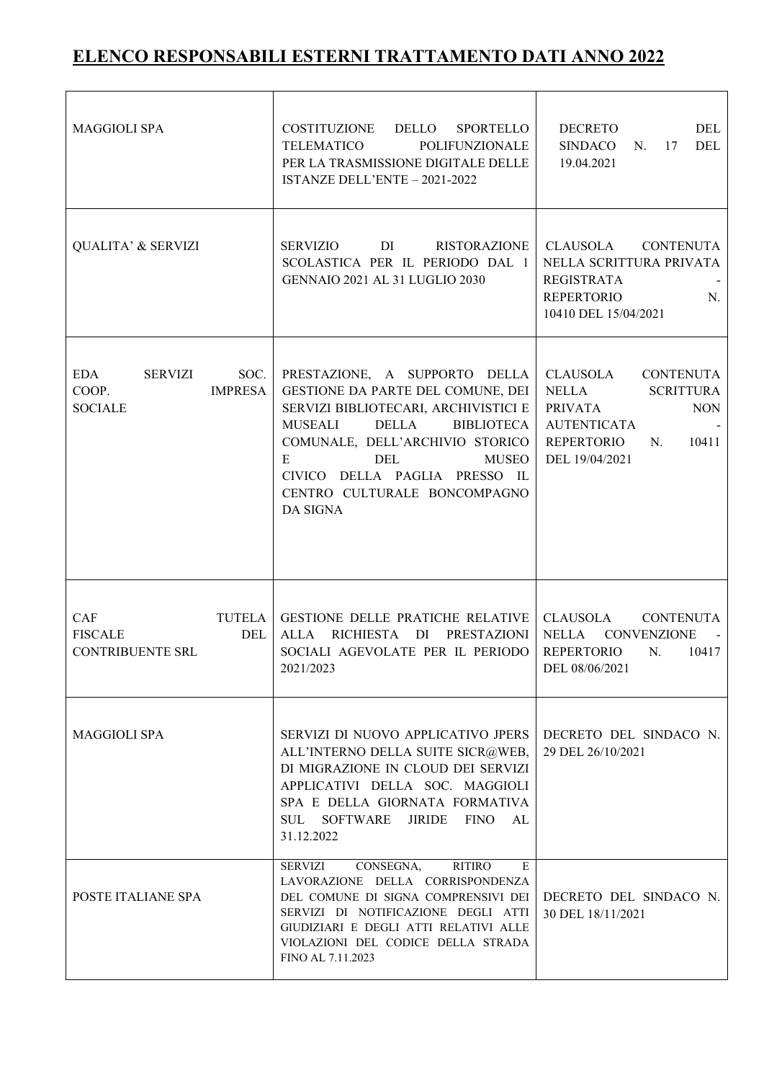| <b>MAGGIOLI SPA</b>                                                        | COSTITUZIONE DELLO SPORTELLO<br>POLIFUNZIONALE<br><b>TELEMATICO</b><br>PER LA TRASMISSIONE DIGITALE DELLE<br>ISTANZE DELL'ENTE - 2021-2022                                                                                                                                                                                                    | <b>DECRETO</b><br>DEL<br>SINDACO<br>DEL<br>N.<br>17<br>19.04.2021                                                                                    |  |  |  |
|----------------------------------------------------------------------------|-----------------------------------------------------------------------------------------------------------------------------------------------------------------------------------------------------------------------------------------------------------------------------------------------------------------------------------------------|------------------------------------------------------------------------------------------------------------------------------------------------------|--|--|--|
| <b>QUALITA' &amp; SERVIZI</b>                                              | <b>SERVIZIO</b><br>DI and the state of the state of the state of the state of the state of the state of the state of the state of the state of the state of the state of the state of the state of the state of the state of the state of the sta<br>RISTORAZIONE<br>SCOLASTICA PER IL PERIODO DAL 1<br><b>GENNAIO 2021 AL 31 LUGLIO 2030</b> | CLAUSOLA CONTENUTA<br>NELLA SCRITTURA PRIVATA<br><b>REGISTRATA</b><br><b>REPERTORIO</b><br>N.<br>10410 DEL 15/04/2021                                |  |  |  |
| <b>EDA</b><br>SOC.<br>SERVIZI<br><b>IMPRESA</b><br>COOP.<br><b>SOCIALE</b> | PRESTAZIONE, A SUPPORTO DELLA<br>GESTIONE DA PARTE DEL COMUNE, DEI<br>SERVIZI BIBLIOTECARI, ARCHIVISTICI E<br>MUSEALI<br><b>DELLA</b><br><b>BIBLIOTECA</b><br>COMUNALE, DELL'ARCHIVIO STORICO<br>E<br>DEL<br><b>MUSEO</b><br>CIVICO DELLA PAGLIA PRESSO IL<br>CENTRO CULTURALE BONCOMPAGNO<br>DA SIGNA                                        | CLAUSOLA CONTENUTA<br><b>NELLA</b><br><b>SCRITTURA</b><br>PRIVATA<br><b>NON</b><br><b>AUTENTICATA</b><br>REPERTORIO<br>10411<br>N.<br>DEL 19/04/2021 |  |  |  |
| CAF<br><b>FISCALE</b><br>DEL<br><b>CONTRIBUENTE SRL</b>                    | TUTELA GESTIONE DELLE PRATICHE RELATIVE<br>ALLA RICHIESTA DI<br>PRESTAZIONI<br>SOCIALI AGEVOLATE PER IL PERIODO<br>2021/2023                                                                                                                                                                                                                  | CLAUSOLA CONTENUTA<br>NELLA CONVENZIONE<br>$\sim 100$<br><b>REPERTORIO</b><br>N.<br>10417<br>DEL 08/06/2021                                          |  |  |  |
| <b>MAGGIOLI SPA</b>                                                        | SERVIZI DI NUOVO APPLICATIVO JPERS<br>ALL'INTERNO DELLA SUITE SICR@WEB,<br>DI MIGRAZIONE IN CLOUD DEI SERVIZI<br>APPLICATIVI DELLA SOC. MAGGIOLI<br>SPA E DELLA GIORNATA FORMATIVA<br><b>JIRIDE</b><br>FINO<br><b>SUL</b><br>SOFTWARE<br>AL<br>31.12.2022                                                                                     | DECRETO DEL SINDACO N.<br>29 DEL 26/10/2021                                                                                                          |  |  |  |
| POSTE ITALIANE SPA                                                         | CONSEGNA,<br><b>RITIRO</b><br><b>SERVIZI</b><br>E<br>LAVORAZIONE DELLA CORRISPONDENZA<br>DEL COMUNE DI SIGNA COMPRENSIVI DEI<br>SERVIZI DI NOTIFICAZIONE DEGLI ATTI<br>GIUDIZIARI E DEGLI ATTI RELATIVI ALLE<br>VIOLAZIONI DEL CODICE DELLA STRADA<br>FINO AL 7.11.2023                                                                       | DECRETO DEL SINDACO N.<br>30 DEL 18/11/2021                                                                                                          |  |  |  |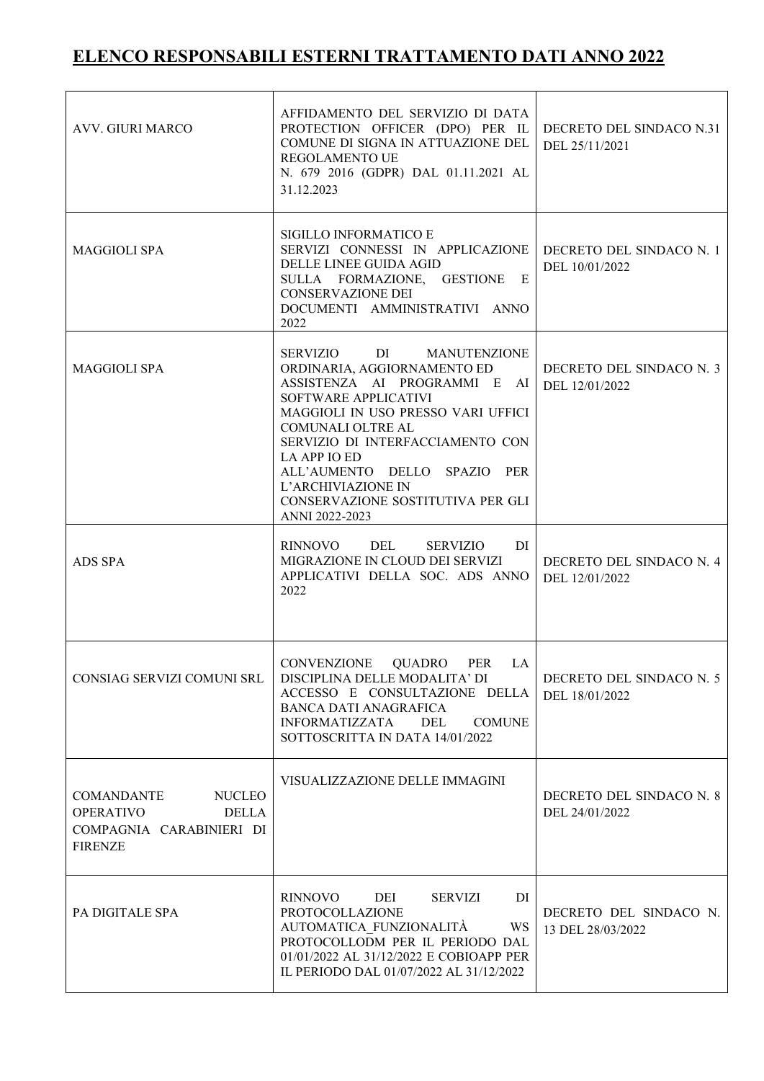| <b>AVV. GIURI MARCO</b>                                                                                              | AFFIDAMENTO DEL SERVIZIO DI DATA<br>PROTECTION OFFICER (DPO) PER IL<br>COMUNE DI SIGNA IN ATTUAZIONE DEL<br>REGOLAMENTO UE<br>N. 679 2016 (GDPR) DAL 01.11.2021 AL<br>31.12.2023                                                                                                                                                                              | DECRETO DEL SINDACO N.31<br>DEL 25/11/2021  |
|----------------------------------------------------------------------------------------------------------------------|---------------------------------------------------------------------------------------------------------------------------------------------------------------------------------------------------------------------------------------------------------------------------------------------------------------------------------------------------------------|---------------------------------------------|
| <b>MAGGIOLI SPA</b>                                                                                                  | SIGILLO INFORMATICO E<br>SERVIZI CONNESSI IN APPLICAZIONE<br>DELLE LINEE GUIDA AGID<br>SULLA FORMAZIONE,<br><b>GESTIONE</b><br>E<br><b>CONSERVAZIONE DEI</b><br>DOCUMENTI AMMINISTRATIVI ANNO<br>2022                                                                                                                                                         | DECRETO DEL SINDACO N. 1<br>DEL 10/01/2022  |
| <b>MAGGIOLI SPA</b>                                                                                                  | SERVIZIO<br>DI 1<br>MANUTENZIONE<br>ORDINARIA, AGGIORNAMENTO ED<br>ASSISTENZA AI PROGRAMMI E AI<br>SOFTWARE APPLICATIVI<br>MAGGIOLI IN USO PRESSO VARI UFFICI<br>COMUNALI OLTRE AL<br>SERVIZIO DI INTERFACCIAMENTO CON<br>LA APP IO ED<br>ALL'AUMENTO DELLO SPAZIO<br><b>PER</b><br>L'ARCHIVIAZIONE IN<br>CONSERVAZIONE SOSTITUTIVA PER GLI<br>ANNI 2022-2023 | DECRETO DEL SINDACO N. 3<br>DEL 12/01/2022  |
| ADS SPA                                                                                                              | DEL<br><b>RINNOVO</b><br><b>SERVIZIO</b><br>DI<br>MIGRAZIONE IN CLOUD DEI SERVIZI<br>APPLICATIVI DELLA SOC. ADS ANNO<br>2022                                                                                                                                                                                                                                  | DECRETO DEL SINDACO N. 4<br>DEL 12/01/2022  |
| CONSIAG SERVIZI COMUNI SRL                                                                                           | CONVENZIONE QUADRO PER LA<br>DISCIPLINA DELLE MODALITA' DI<br>ACCESSO E CONSULTAZIONE DELLA<br><b>BANCA DATI ANAGRAFICA</b><br><b>INFORMATIZZATA</b><br>DEL<br><b>COMUNE</b><br>SOTTOSCRITTA IN DATA 14/01/2022                                                                                                                                               | DECRETO DEL SINDACO N. 5<br>DEL 18/01/2022  |
| <b>COMANDANTE</b><br><b>NUCLEO</b><br><b>OPERATIVO</b><br><b>DELLA</b><br>COMPAGNIA CARABINIERI DI<br><b>FIRENZE</b> | VISUALIZZAZIONE DELLE IMMAGINI                                                                                                                                                                                                                                                                                                                                | DECRETO DEL SINDACO N. 8<br>DEL 24/01/2022  |
| PA DIGITALE SPA                                                                                                      | <b>RINNOVO</b><br>DEI<br><b>SERVIZI</b><br>DI<br>PROTOCOLLAZIONE<br>AUTOMATICA FUNZIONALITÀ<br>WS<br>PROTOCOLLODM PER IL PERIODO DAL<br>01/01/2022 AL 31/12/2022 E COBIOAPP PER<br>IL PERIODO DAL 01/07/2022 AL 31/12/2022                                                                                                                                    | DECRETO DEL SINDACO N.<br>13 DEL 28/03/2022 |